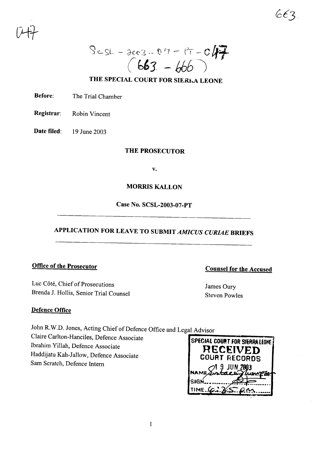$ScsL - 2603 - 0.7 - 17 - 047$ 

## THE SPECIAL COURT FOR SIERKA LEONE

Before: The Trial Chamber

Registrar: Robin Vincent

Date filed: 19 June 2003

## THE PROSECUTOR

v.

### MORRIS KALLON

Case No. SCSL-2003-07-PT

# APPLICATION FOR LEAVE TO SUBMIT *AMICUS CURIAE* BRIEFS

#### Office of the Prosecutor

Luc Côté, Chief of Prosecutions Brenda J. Hollis, Senior Trial Counsel Counsel for the Accused

663

James Oury Steven Powles

#### Defence Office

John R.W.D. Jones, Acting Chief of Defence Office and Legal Advisor

 $Claire \nCartton-Hanciles, \nDefence \nAssociate$ 

Ibrahim Yillah, Defence Associate **RECEIVED** Haddijatu Kah-Jallow, Defence Associate **COURT RECORDS** Sam Scratch, Defence Intern

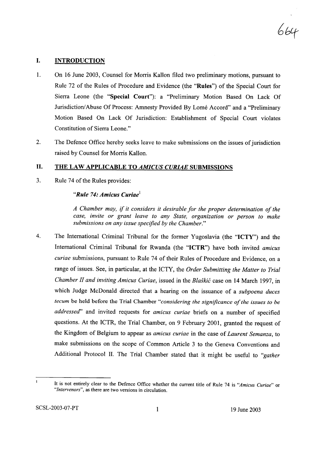664

#### I. INTRODUCTION

- 1. On 16 June 2003, Counsel for Morris KaHon filed two preliminary motions, pursuant to Rule 72 of the Rules of Procedure and Evidence (the "Rules") of the Special Court for Sierra Leone (the "Special Court"): a "Preliminary Motion Based On Lack Of Jurisdiction/Abuse Of Process: Amnesty Provided By Lomé Accord" and a "Preliminary Motion Based On Lack Of Jurisdiction: Establishment of Special Court violates Constitution of Sierra Leone."
- 2. The Defence Office hereby seeks leave to make submissions on the issues of jurisdiction raised by Counsel for Morris Kallon.

#### II. THE LAW APPLICABLE TO *AMICUS CURIAE* SUBMISSIONS

3. Rule 74 of the Rules provides:

#### *"Rule* 74: *Amicus Curiae'*

*A Chamber may,* if *it considers it desirable for the proper determination ofthe case, invite or grant leave to any State, organization or person to make submissions on any issue specified by the Chamber."*

4. The International Criminal Tribunal for the former Yugoslavia (the "ICTY") and the International Criminal Tribunal for Rwanda (the "ICTR") have both invited *amicus curiae* submissions, pursuant to Rule 74 of their Rules of Procedure and Evidence, on a range of issues. See, in particular, at the ICTY, the *Order Submitting the Matter to Trial Chamber II and inviting Amicus Curiae,* issued in the *Blaskic* case on 14 March 1997, in which Judge McDonald directed that a hearing on the issuance of a *subpoena duces tecum* be held before the Trial Chamber "considering the significance of the issues to be *addressecf'* and invited requests for *amicus curiae* briefs on a number of specified questions. At the ICTR, the Trial Chamber, on 9 February 2001, granted the request of the Kingdom of Belgium to appear as *amicus curiae* in the case of *Laurent Semanza,* to make submissions on the scope of Common Article 3 to the Geneva Conventions and Additional Protocol II. The Trial Chamber stated that it might be useful to *"gather*

 $\mathbf{I}$ 

It is not entirely clear to the Defence Office whether the current title of Rule 74 is *"Amicus Curiae"* or *"Intervenors",* as there are two versions in circulation.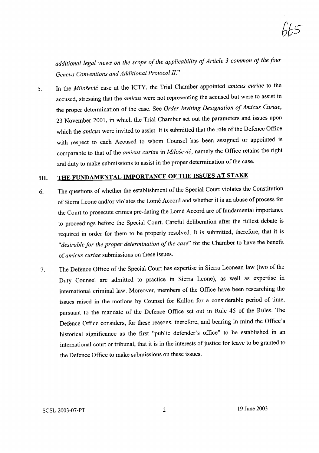*additional legal views on the scope of the applicability of Article 3 common of the four Geneva Conventions and Additional Protocol II."*

5. In the *Milosevic* case at the ICTY, the Trial Chamber appointed *amicus curiae* to the accused, stressing that the *amicus* were not representing the accused but were to assist in the proper determination of the case. See *Order Inviting Designation ofAmicus Curiae,* 23 November 2001, in which the Trial Chamber set out the parameters and issues upon which the *amicus* were invited to assist. It is submitted that the role of the Defence Office with respect to each Accused to whom Counsel has been assigned or appointed is comparable to that of the *amicus curiae* in *Milosevic,* namely the Office retains the right and duty to make submissions to assist in the proper determination of the case.

## III. THE FUNDAMENTAL IMPORTANCE OF THE ISSUES AT STAKE

- 6. The questions of whether the establishment of the Special Court violates the Constitution of Sierra Leone and/or violates the Lome Accord and whether it is an abuse of process for the Court to prosecute crimes pre-dating the Lome Accord are of fundamental importance to proceedings before the Special Court. Careful deliberation after the fullest debate is required in order for them to be properly resolved. It is submitted, therefore, that it is "*desirable for the proper determination of the case*" for the Chamber to have the benefit of *amicus curiae* submissions on these issues.
- 7. The Defence Office of the Special Court has expertise in Sierra Leonean law (two of the Duty Counsel are admitted to practice in Sierra Leone), as well as expertise in international criminal law. Moreover, members of the Office have been researching the issues raised in the motions by Counsel for Kallon for a considerable period of time, pursuant to the mandate of the Defence Office set out in Rule 45 of the Rules. The Defence Office considers, for these reasons, therefore, and bearing in mind the Office's historical significance as the first "public defender's office" to be established in an international court or tribunal, that it is in the interests of justice for leave to be granted to the Defence Office to make submissions on these issues.